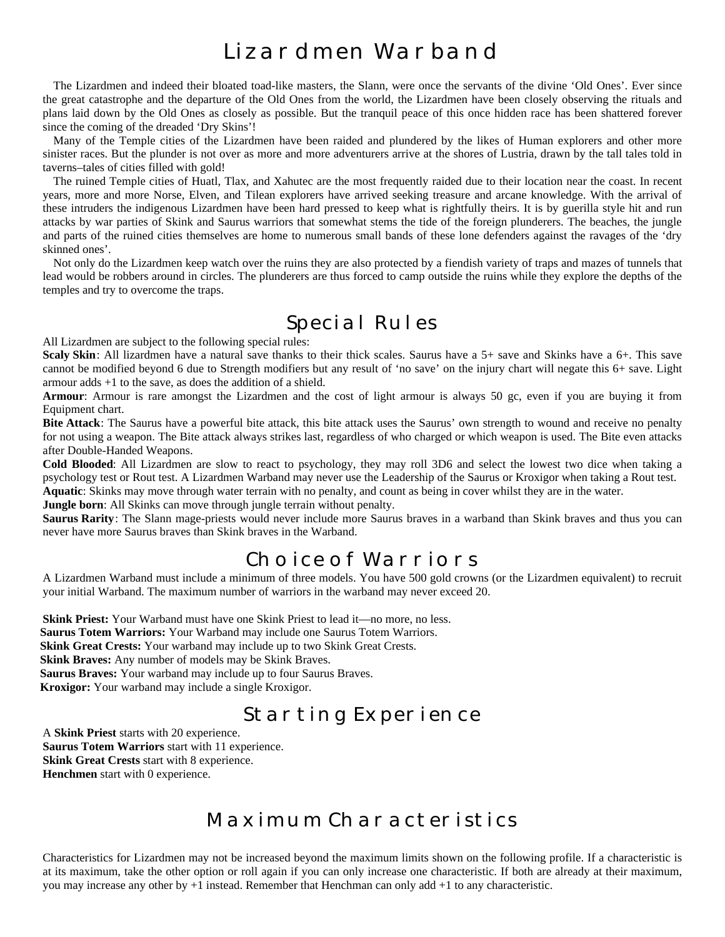# Lizardmen Warband

The Lizardmen and indeed their bloated toad-like masters, the Slann, were once the servants of the divine 'Old Ones'. Ever since the great catastrophe and the departure of the Old Ones from the world, the Lizardmen have been closely observing the rituals and plans laid down by the Old Ones as closely as possible. But the tranquil peace of this once hidden race has been shattered forever since the coming of the dreaded 'Dry Skins'!

Many of the Temple cities of the Lizardmen have been raided and plundered by the likes of Human explorers and other more sinister races. But the plunder is not over as more and more adventurers arrive at the shores of Lustria, drawn by the tall tales told in taverns–tales of cities filled with gold!

The ruined Temple cities of Huatl, Tlax, and Xahutec are the most frequently raided due to their location near the coast. In recent years, more and more Norse, Elven, and Tilean explorers have arrived seeking treasure and arcane knowledge. With the arrival of these intruders the indigenous Lizardmen have been hard pressed to keep what is rightfully theirs. It is by guerilla style hit and run attacks by war parties of Skink and Saurus warriors that somewhat stems the tide of the foreign plunderers. The beaches, the jungle and parts of the ruined cities themselves are home to numerous small bands of these lone defenders against the ravages of the 'dry skinned ones'.

Not only do the Lizardmen keep watch over the ruins they are also protected by a fiendish variety of traps and mazes of tunnels that lead would be robbers around in circles. The plunderers are thus forced to camp outside the ruins while they explore the depths of the temples and try to overcome the traps.

# Special Rules

All Lizardmen are subject to the following special rules:

**Scaly Skin**: All lizardmen have a natural save thanks to their thick scales. Saurus have a 5+ save and Skinks have a 6+. This save cannot be modified beyond 6 due to Strength modifiers but any result of 'no save' on the injury chart will negate this 6+ save. Light armour adds +1 to the save, as does the addition of a shield.

Armour: Armour is rare amongst the Lizardmen and the cost of light armour is always 50 gc, even if you are buying it from Equipment chart.

**Bite Attack**: The Saurus have a powerful bite attack, this bite attack uses the Saurus' own strength to wound and receive no penalty for not using a weapon. The Bite attack always strikes last, regardless of who charged or which weapon is used. The Bite even attacks after Double-Handed Weapons.

**Cold Blooded**: All Lizardmen are slow to react to psychology, they may roll 3D6 and select the lowest two dice when taking a psychology test or Rout test. A Lizardmen Warband may never use the Leadership of the Saurus or Kroxigor when taking a Rout test.

**Aquatic**: Skinks may move through water terrain with no penalty, and count as being in cover whilst they are in the water.

**Jungle born**: All Skinks can move through jungle terrain without penalty.

**Saurus Rarity**: The Slann mage-priests would never include more Saurus braves in a warband than Skink braves and thus you can never have more Saurus braves than Skink braves in the Warband.

# Choice of Warriors

A Lizardmen Warband must include a minimum of three models. You have 500 gold crowns (or the Lizardmen equivalent) to recruit your initial Warband. The maximum number of warriors in the warband may never exceed 20.

**Skink Priest:** Your Warband must have one Skink Priest to lead it—no more, no less. **Saurus Totem Warriors:** Your Warband may include one Saurus Totem Warriors. **Skink Great Crests:** Your warband may include up to two Skink Great Crests. **Skink Braves:** Any number of models may be Skink Braves. **Saurus Braves:** Your warband may include up to four Saurus Braves. **Kroxigor:** Your warband may include a single Kroxigor.

# Starting Experience

A **Skink Priest** starts with 20 experience. **Saurus Totem Warriors** start with 11 experience. **Skink Great Crests** start with 8 experience. **Henchmen** start with 0 experience.

# Maximum Characteristics

Characteristics for Lizardmen may not be increased beyond the maximum limits shown on the following profile. If a characteristic is at its maximum, take the other option or roll again if you can only increase one characteristic. If both are already at their maximum, you may increase any other by +1 instead. Remember that Henchman can only add +1 to any characteristic.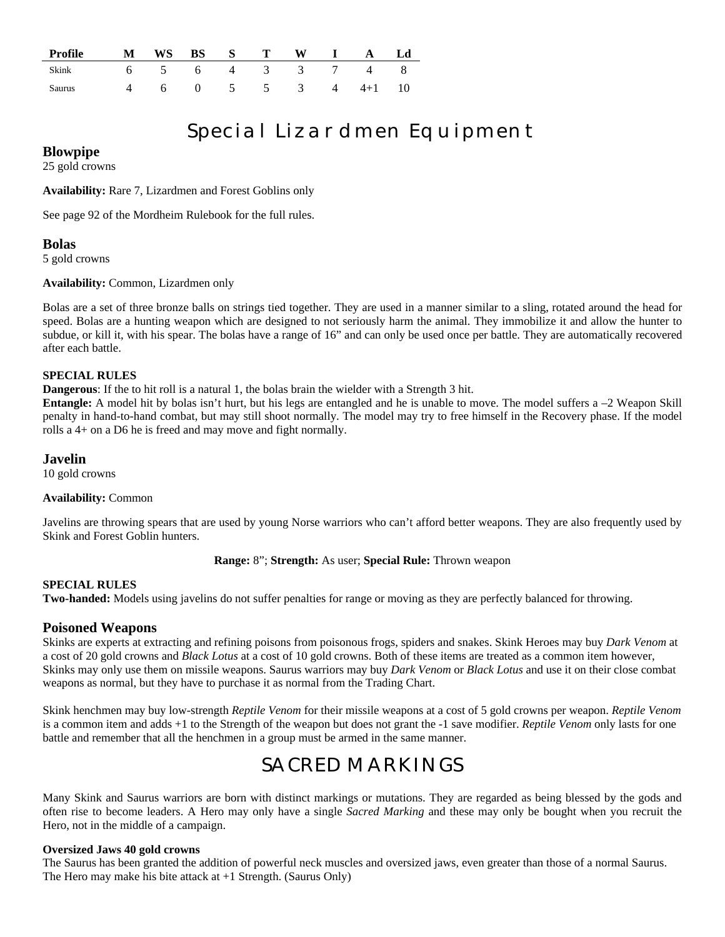| Profile M WS BS S T W I A Ld |                      |  |  |  |  |
|------------------------------|----------------------|--|--|--|--|
| Skink 6 5 6 4 3 3 7 4 8      |                      |  |  |  |  |
| Saurus                       | 4 6 0 5 5 3 4 4+1 10 |  |  |  |  |

# Special Lizardmen Equipment

**Blowpipe**

25 gold crowns

**Availability:** Rare 7, Lizardmen and Forest Goblins only

See page 92 of the Mordheim Rulebook for the full rules.

**Bolas**

5 gold crowns

**Availability:** Common, Lizardmen only

Bolas are a set of three bronze balls on strings tied together. They are used in a manner similar to a sling, rotated around the head for speed. Bolas are a hunting weapon which are designed to not seriously harm the animal. They immobilize it and allow the hunter to subdue, or kill it, with his spear. The bolas have a range of 16" and can only be used once per battle. They are automatically recovered after each battle.

## **SPECIAL RULES**

**Dangerous**: If the to hit roll is a natural 1, the bolas brain the wielder with a Strength 3 hit.

**Entangle:** A model hit by bolas isn't hurt, but his legs are entangled and he is unable to move. The model suffers a –2 Weapon Skill penalty in hand-to-hand combat, but may still shoot normally. The model may try to free himself in the Recovery phase. If the model rolls a 4+ on a D6 he is freed and may move and fight normally.

# **Javelin**

10 gold crowns

# **Availability:** Common

Javelins are throwing spears that are used by young Norse warriors who can't afford better weapons. They are also frequently used by Skink and Forest Goblin hunters.

**Range:** 8"; **Strength:** As user; **Special Rule:** Thrown weapon

# **SPECIAL RULES**

**Two-handed:** Models using javelins do not suffer penalties for range or moving as they are perfectly balanced for throwing.

# **Poisoned Weapons**

Skinks are experts at extracting and refining poisons from poisonous frogs, spiders and snakes. Skink Heroes may buy *Dark Venom* at a cost of 20 gold crowns and *Black Lotus* at a cost of 10 gold crowns. Both of these items are treated as a common item however, Skinks may only use them on missile weapons. Saurus warriors may buy *Dark Venom* or *Black Lotus* and use it on their close combat weapons as normal, but they have to purchase it as normal from the Trading Chart.

Skink henchmen may buy low-strength *Reptile Venom* for their missile weapons at a cost of 5 gold crowns per weapon. *Reptile Venom* is a common item and adds +1 to the Strength of the weapon but does not grant the -1 save modifier. *Reptile Venom* only lasts for one battle and remember that all the henchmen in a group must be armed in the same manner.

# SACRED MARKINGS

Many Skink and Saurus warriors are born with distinct markings or mutations. They are regarded as being blessed by the gods and often rise to become leaders. A Hero may only have a single *Sacred Marking* and these may only be bought when you recruit the Hero, not in the middle of a campaign.

# **Oversized Jaws 40 gold crowns**

The Saurus has been granted the addition of powerful neck muscles and oversized jaws, even greater than those of a normal Saurus. The Hero may make his bite attack at +1 Strength. (Saurus Only)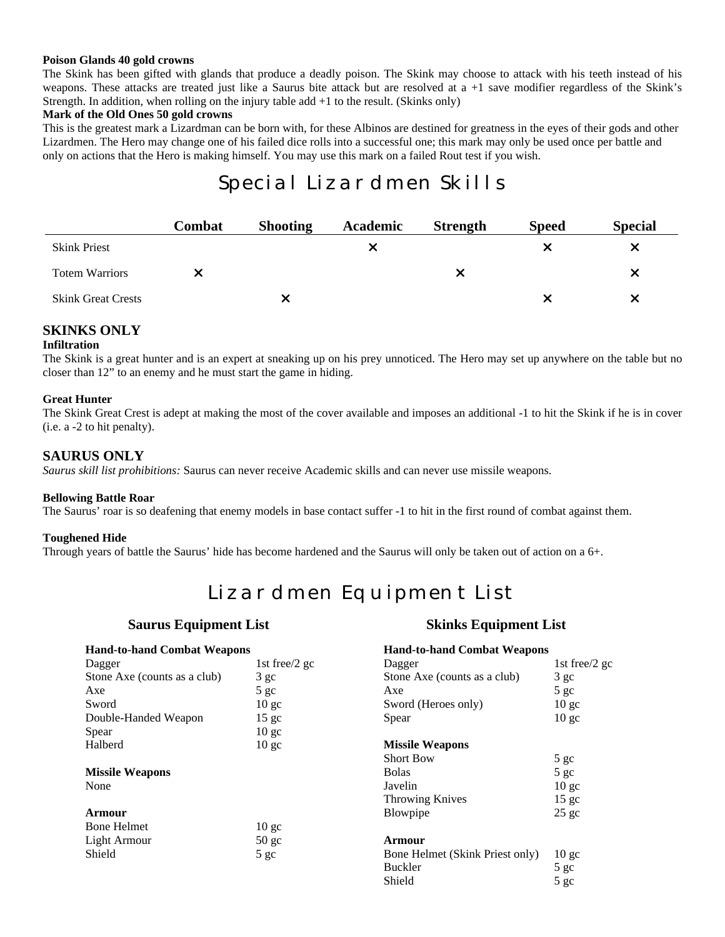### **Poison Glands 40 gold crowns**

The Skink has been gifted with glands that produce a deadly poison. The Skink may choose to attack with his teeth instead of his weapons. These attacks are treated just like a Saurus bite attack but are resolved at a +1 save modifier regardless of the Skink's Strength. In addition, when rolling on the injury table add +1 to the result. (Skinks only)

### **Mark of the Old Ones 50 gold crowns**

This is the greatest mark a Lizardman can be born with, for these Albinos are destined for greatness in the eyes of their gods and other Lizardmen. The Hero may change one of his failed dice rolls into a successful one; this mark may only be used once per battle and only on actions that the Hero is making himself. You may use this mark on a failed Rout test if you wish.

# Special Lizardmen Skills

|                           | Combat | <b>Shooting</b> | Academic | <b>Strength</b> | <b>Speed</b> | <b>Special</b> |
|---------------------------|--------|-----------------|----------|-----------------|--------------|----------------|
| <b>Skink Priest</b>       |        |                 |          |                 |              | X              |
| <b>Totem Warriors</b>     |        |                 |          |                 |              |                |
| <b>Skink Great Crests</b> |        |                 |          |                 |              | x              |

# **SKINKS ONLY**

## **Infiltration**

The Skink is a great hunter and is an expert at sneaking up on his prey unnoticed. The Hero may set up anywhere on the table but no closer than 12" to an enemy and he must start the game in hiding.

## **Great Hunter**

The Skink Great Crest is adept at making the most of the cover available and imposes an additional -1 to hit the Skink if he is in cover (i.e. a -2 to hit penalty).

# **SAURUS ONLY**

*Saurus skill list prohibitions:* Saurus can never receive Academic skills and can never use missile weapons.

### **Bellowing Battle Roar**

The Saurus' roar is so deafening that enemy models in base contact suffer -1 to hit in the first round of combat against them.

### **Toughened Hide**

Through years of battle the Saurus' hide has become hardened and the Saurus will only be taken out of action on a 6+.

# Lizardmen Equipment List

# **Saurus Equipment List Skinks Equipment List**

| <b>Hand-to-hand Combat Weapons</b> |                  | <b>Hand-to-hand Combat Weapons</b> |                  |
|------------------------------------|------------------|------------------------------------|------------------|
| Dagger                             | 1st free/2 gc    | Dagger                             | 1st free/2 gc    |
| Stone Axe (counts as a club)       | 3 <sub>gc</sub>  | Stone Axe (counts as a club)       | $3$ gc           |
| Axe                                | $5$ gc           | Axe                                | 5 <sub>gc</sub>  |
| Sword                              | 10 <sub>gc</sub> | Sword (Heroes only)                | 10 <sub>gc</sub> |
| Double-Handed Weapon               | 15 <sub>gc</sub> | Spear                              | 10 <sub>gc</sub> |
| Spear                              | 10 <sub>gc</sub> |                                    |                  |
| Halberd                            | 10 <sub>gc</sub> | <b>Missile Weapons</b>             |                  |
|                                    |                  | <b>Short Bow</b>                   | 5 gc             |
| <b>Missile Weapons</b>             |                  | <b>Bolas</b>                       | 5 <sub>gc</sub>  |
| None                               |                  | Javelin                            | 10 <sub>gc</sub> |
|                                    |                  | <b>Throwing Knives</b>             | $15 \text{ gc}$  |
| Armour                             |                  | Blowpipe                           | $25$ gc          |
| <b>Bone Helmet</b>                 | 10 <sub>gc</sub> |                                    |                  |
| Light Armour                       | $50$ gc          | Armour                             |                  |
| Shield                             | 5 <sub>gc</sub>  | Bone Helmet (Skink Priest only)    | 10 <sub>gc</sub> |
|                                    |                  | Buckler                            | 5 gc             |
|                                    |                  | Shield                             | 5 gc             |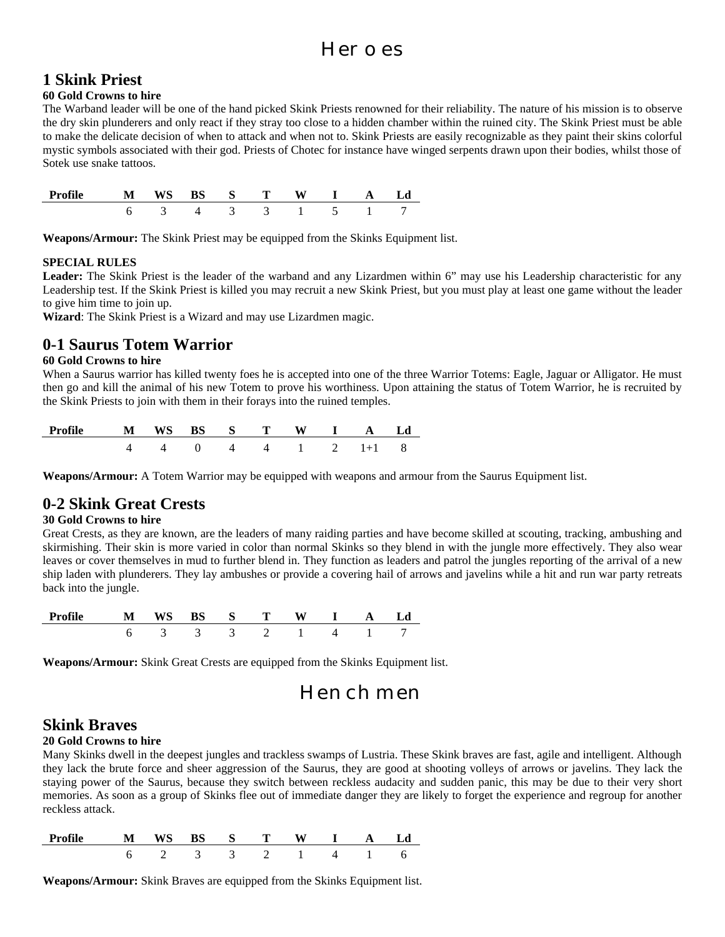# Heroes

# **1 Skink Priest**

# **60 Gold Crowns to hire**

The Warband leader will be one of the hand picked Skink Priests renowned for their reliability. The nature of his mission is to observe the dry skin plunderers and only react if they stray too close to a hidden chamber within the ruined city. The Skink Priest must be able to make the delicate decision of when to attack and when not to. Skink Priests are easily recognizable as they paint their skins colorful mystic symbols associated with their god. Priests of Chotec for instance have winged serpents drawn upon their bodies, whilst those of Sotek use snake tattoos.

| <b>Profile</b> | $\mathbf{M}$ | $\sim$ S $\sim$ |               | W |        |  |
|----------------|--------------|-----------------|---------------|---|--------|--|
|                |              | $\sim$          | $\sim$ $\sim$ |   | $\sim$ |  |

**Weapons/Armour:** The Skink Priest may be equipped from the Skinks Equipment list.

# **SPECIAL RULES**

**Leader:** The Skink Priest is the leader of the warband and any Lizardmen within 6" may use his Leadership characteristic for any Leadership test. If the Skink Priest is killed you may recruit a new Skink Priest, but you must play at least one game without the leader to give him time to join up.

**Wizard**: The Skink Priest is a Wizard and may use Lizardmen magic.

# **0-1 Saurus Totem Warrior**

# **60 Gold Crowns to hire**

When a Saurus warrior has killed twenty foes he is accepted into one of the three Warrior Totems: Eagle, Jaguar or Alligator. He must then go and kill the animal of his new Totem to prove his worthiness. Upon attaining the status of Totem Warrior, he is recruited by the Skink Priests to join with them in their forays into the ruined temples.

| Profile M WS BS S T W I A Ld |  |  |  |                                               |  |
|------------------------------|--|--|--|-----------------------------------------------|--|
|                              |  |  |  | $4 \t 4 \t 0 \t 4 \t 4 \t 1 \t 2 \t 1+1 \t 8$ |  |

**Weapons/Armour:** A Totem Warrior may be equipped with weapons and armour from the Saurus Equipment list.

# **0-2 Skink Great Crests**

# **30 Gold Crowns to hire**

Great Crests, as they are known, are the leaders of many raiding parties and have become skilled at scouting, tracking, ambushing and skirmishing. Their skin is more varied in color than normal Skinks so they blend in with the jungle more effectively. They also wear leaves or cover themselves in mud to further blend in. They function as leaders and patrol the jungles reporting of the arrival of a new ship laden with plunderers. They lay ambushes or provide a covering hail of arrows and javelins while a hit and run war party retreats back into the jungle.

| Profile | WS<br>N | - S -  | m |  |  |
|---------|---------|--------|---|--|--|
|         |         | $\sim$ |   |  |  |

**Weapons/Armour:** Skink Great Crests are equipped from the Skinks Equipment list.

# Henchmen

# **Skink Braves**

# **20 Gold Crowns to hire**

Many Skinks dwell in the deepest jungles and trackless swamps of Lustria. These Skink braves are fast, agile and intelligent. Although they lack the brute force and sheer aggression of the Saurus, they are good at shooting volleys of arrows or javelins. They lack the staying power of the Saurus, because they switch between reckless audacity and sudden panic, this may be due to their very short memories. As soon as a group of Skinks flee out of immediate danger they are likely to forget the experience and regroup for another reckless attack.

| Profile | <b>WS</b><br>N |        | $S$ T    |  |  |  |
|---------|----------------|--------|----------|--|--|--|
|         |                | $\sim$ | $\sim$ 3 |  |  |  |

**Weapons/Armour:** Skink Braves are equipped from the Skinks Equipment list.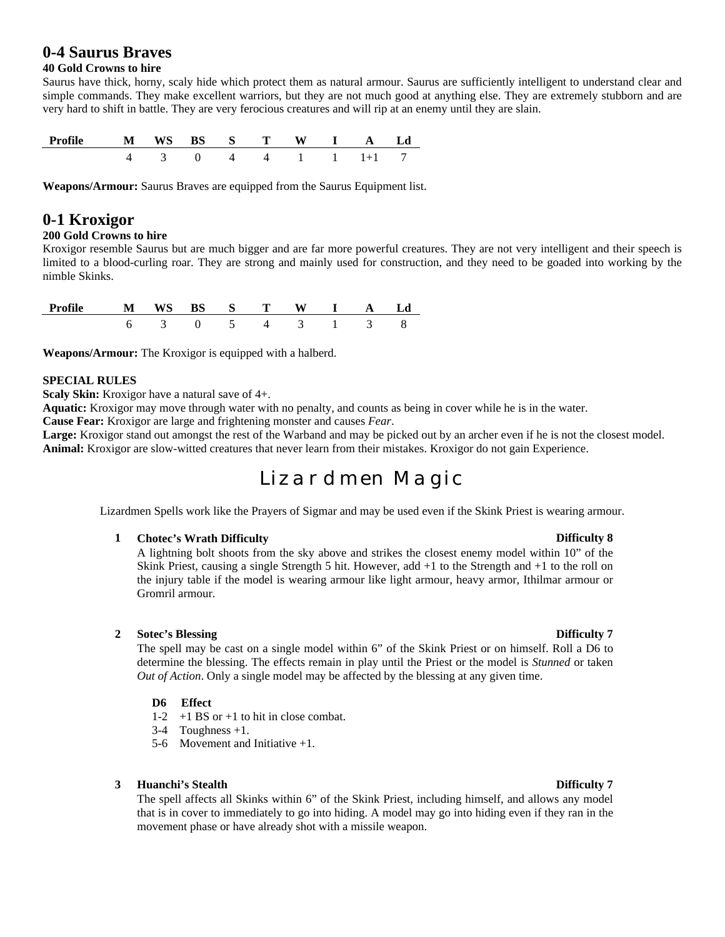# **0-4 Saurus Braves**

# **40 Gold Crowns to hire**

Saurus have thick, horny, scaly hide which protect them as natural armour. Saurus are sufficiently intelligent to understand clear and simple commands. They make excellent warriors, but they are not much good at anything else. They are extremely stubborn and are very hard to shift in battle. They are very ferocious creatures and will rip at an enemy until they are slain.

| опіе | M | WS | $\mathbf{s} = \mathbf{s}$ is the set of $\mathbf{s}$ | $\mathbf{r}$ |  |  |
|------|---|----|------------------------------------------------------|--------------|--|--|
|      |   |    |                                                      |              |  |  |

**Weapons/Armour:** Saurus Braves are equipped from the Saurus Equipment list.

# **0-1 Kroxigor**

## **200 Gold Crowns to hire**

Kroxigor resemble Saurus but are much bigger and are far more powerful creatures. They are not very intelligent and their speech is limited to a blood-curling roar. They are strong and mainly used for construction, and they need to be goaded into working by the nimble Skinks.

| Profile | м | W.<br>N | $\mathbf{S}$         |        |  |  |
|---------|---|---------|----------------------|--------|--|--|
|         |   |         | $\ddot{\phantom{1}}$ | $\sim$ |  |  |

**Weapons/Armour:** The Kroxigor is equipped with a halberd.

# **SPECIAL RULES**

**Scaly Skin:** Kroxigor have a natural save of 4+.

**Aquatic:** Kroxigor may move through water with no penalty, and counts as being in cover while he is in the water.

**Cause Fear:** Kroxigor are large and frightening monster and causes *Fear*.

**Large:** Kroxigor stand out amongst the rest of the Warband and may be picked out by an archer even if he is not the closest model. **Animal:** Kroxigor are slow-witted creatures that never learn from their mistakes. Kroxigor do not gain Experience.

# Lizardmen Magic

Lizardmen Spells work like the Prayers of Sigmar and may be used even if the Skink Priest is wearing armour.

### **1 Chotec's Wrath Difficulty Difficulty Difficulty B**

A lightning bolt shoots from the sky above and strikes the closest enemy model within 10" of the Skink Priest, causing a single Strength 5 hit. However, add +1 to the Strength and +1 to the roll on the injury table if the model is wearing armour like light armour, heavy armor, Ithilmar armour or Gromril armour.

# **2 Sotec's Blessing Difficulty 7**

The spell may be cast on a single model within 6" of the Skink Priest or on himself. Roll a D6 to determine the blessing. The effects remain in play until the Priest or the model is *Stunned* or taken *Out of Action*. Only a single model may be affected by the blessing at any given time.

## **D6 Effect**

- 1-2 +1 BS or +1 to hit in close combat.
- $3-4$  Toughness +1.
- 5-6 Movement and Initiative +1.

### **3 Huanchi's Stealth Difficulty 7**

The spell affects all Skinks within 6" of the Skink Priest, including himself, and allows any model that is in cover to immediately to go into hiding. A model may go into hiding even if they ran in the movement phase or have already shot with a missile weapon.